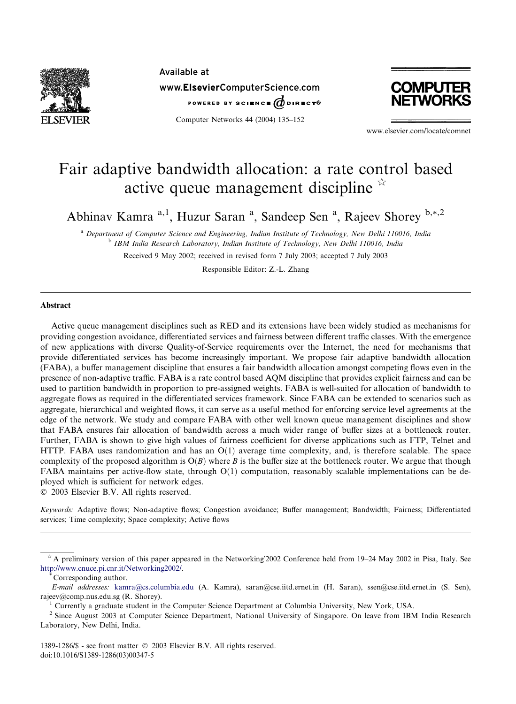

Available at www.ElsevierComputerScience.com POWERED BY SCIENCE ODIRECT®

Computer Networks 44 (2004) 135–152



www.elsevier.com/locate/comnet

# Fair adaptive bandwidth allocation: a rate control based active queue management discipline  $\dot{\alpha}$

Abhinav Kamra <sup>a, 1</sup>, Huzur Saran <sup>a</sup>, Sandeep Sen <sup>a</sup>, Rajeev Shorey b,\*,2

<sup>a</sup> Department of Computer Science and Engineering, Indian Institute of Technology, New Delhi 110016, India <sup>b</sup> IBM India Research Laboratory, Indian Institute of Technology, New Delhi 110016, India

Received 9 May 2002; received in revised form 7 July 2003; accepted 7 July 2003

Responsible Editor: Z.-L. Zhang

## Abstract

Active queue management disciplines such as RED and its extensions have been widely studied as mechanisms for providing congestion avoidance, differentiated services and fairness between different traffic classes. With the emergence of new applications with diverse Quality-of-Service requirements over the Internet, the need for mechanisms that provide differentiated services has become increasingly important. We propose fair adaptive bandwidth allocation (FABA), a buffer management discipline that ensures a fair bandwidth allocation amongst competing flows even in the presence of non-adaptive traffic. FABA is a rate control based AQM discipline that provides explicit fairness and can be used to partition bandwidth in proportion to pre-assigned weights. FABA is well-suited for allocation of bandwidth to aggregate flows as required in the differentiated services framework. Since FABA can be extended to scenarios such as aggregate, hierarchical and weighted flows, it can serve as a useful method for enforcing service level agreements at the edge of the network. We study and compare FABA with other well known queue management disciplines and show that FABA ensures fair allocation of bandwidth across a much wider range of buffer sizes at a bottleneck router. Further, FABA is shown to give high values of fairness coefficient for diverse applications such as FTP, Telnet and HTTP. FABA uses randomization and has an  $O(1)$  average time complexity, and, is therefore scalable. The space complexity of the proposed algorithm is  $O(B)$  where B is the buffer size at the bottleneck router. We argue that though FABA maintains per active-flow state, through  $O(1)$  computation, reasonably scalable implementations can be deployed which is sufficient for network edges.

2003 Elsevier B.V. All rights reserved.

Keywords: Adaptive flows; Non-adaptive flows; Congestion avoidance; Buffer management; Bandwidth; Fairness; Differentiated services; Time complexity; Space complexity; Active flows

 $A$  preliminary version of this paper appeared in the Networking' 2002 Conference held from 19–24 May 2002 in Pisa, Italy. See [http://www.cnuce.pi.cnr.it/Networking2002/.](http://www.cnuce.pi.cnr.it/Networking2002/) \* Corresponding author.

E-mail addresses: [kamra@cs.columbia.edu](mail to: kamra@cs.columbia.edu) (A. Kamra), saran@cse.iitd.ernet.in (H. Saran), ssen@cse.iitd.ernet.in (S. Sen), rajeev@comp.nus.edu.sg (R. Shorey).<br><sup>1</sup> Currently a graduate student in the Computer Science Department at Columbia University, New York, USA.

<sup>&</sup>lt;sup>2</sup> Since August 2003 at Computer Science Department, National University of Singapore. On leave from IBM India Research Laboratory, New Delhi, India.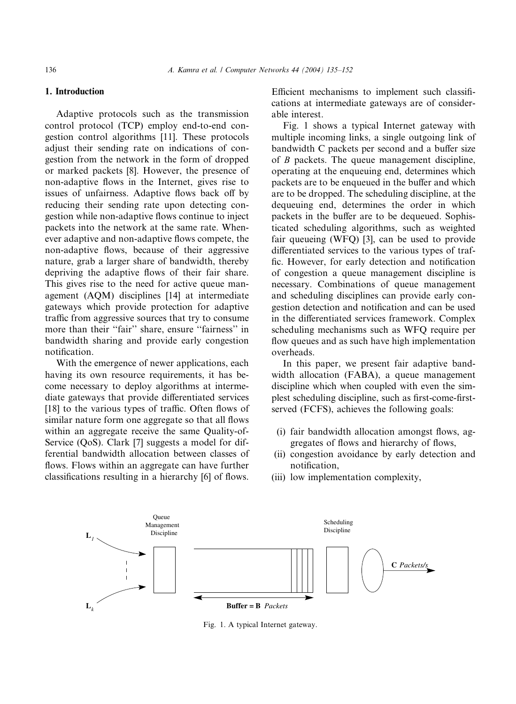# 1. Introduction

Adaptive protocols such as the transmission control protocol (TCP) employ end-to-end congestion control algorithms [11]. These protocols adjust their sending rate on indications of congestion from the network in the form of dropped or marked packets [8]. However, the presence of non-adaptive flows in the Internet, gives rise to issues of unfairness. Adaptive flows back off by reducing their sending rate upon detecting congestion while non-adaptive flows continue to inject packets into the network at the same rate. Whenever adaptive and non-adaptive flows compete, the non-adaptive flows, because of their aggressive nature, grab a larger share of bandwidth, thereby depriving the adaptive flows of their fair share. This gives rise to the need for active queue management (AQM) disciplines [14] at intermediate gateways which provide protection for adaptive traffic from aggressive sources that try to consume more than their "fair" share, ensure "fairness" in bandwidth sharing and provide early congestion notification.

With the emergence of newer applications, each having its own resource requirements, it has become necessary to deploy algorithms at intermediate gateways that provide differentiated services [18] to the various types of traffic. Often flows of similar nature form one aggregate so that all flows within an aggregate receive the same Quality-of-Service (QoS). Clark [7] suggests a model for differential bandwidth allocation between classes of flows. Flows within an aggregate can have further classifications resulting in a hierarchy [6] of flows.

Efficient mechanisms to implement such classifications at intermediate gateways are of considerable interest.

Fig. 1 shows a typical Internet gateway with multiple incoming links, a single outgoing link of bandwidth C packets per second and a buffer size of B packets. The queue management discipline, operating at the enqueuing end, determines which packets are to be enqueued in the buffer and which are to be dropped. The scheduling discipline, at the dequeuing end, determines the order in which packets in the buffer are to be dequeued. Sophisticated scheduling algorithms, such as weighted fair queueing (WFQ) [3], can be used to provide differentiated services to the various types of traffic. However, for early detection and notification of congestion a queue management discipline is necessary. Combinations of queue management and scheduling disciplines can provide early congestion detection and notification and can be used in the differentiated services framework. Complex scheduling mechanisms such as WFQ require per flow queues and as such have high implementation overheads.

In this paper, we present fair adaptive bandwidth allocation (FABA), a queue management discipline which when coupled with even the simplest scheduling discipline, such as first-come-firstserved (FCFS), achieves the following goals:

- (i) fair bandwidth allocation amongst flows, aggregates of flows and hierarchy of flows,
- i(ii) congestion avoidance by early detection and notification,
- (iii) low implementation complexity,



Fig. 1. A typical Internet gateway.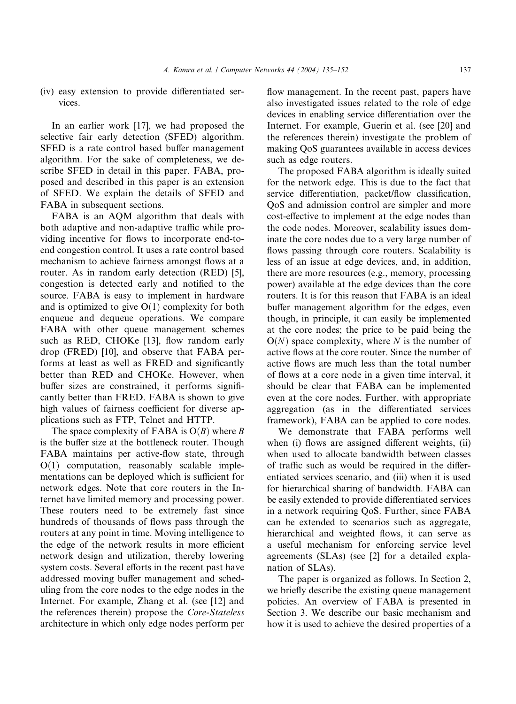(iv) easy extension to provide differentiated services.

In an earlier work [17], we had proposed the selective fair early detection (SFED) algorithm. SFED is a rate control based buffer management algorithm. For the sake of completeness, we describe SFED in detail in this paper. FABA, proposed and described in this paper is an extension of SFED. We explain the details of SFED and FABA in subsequent sections.

FABA is an AQM algorithm that deals with both adaptive and non-adaptive traffic while providing incentive for flows to incorporate end-toend congestion control. It uses a rate control based mechanism to achieve fairness amongst flows at a router. As in random early detection (RED) [5], congestion is detected early and notified to the source. FABA is easy to implement in hardware and is optimized to give  $O(1)$  complexity for both enqueue and dequeue operations. We compare FABA with other queue management schemes such as RED, CHOKe [13], flow random early drop (FRED) [10], and observe that FABA performs at least as well as FRED and significantly better than RED and CHOKe. However, when buffer sizes are constrained, it performs significantly better than FRED. FABA is shown to give high values of fairness coefficient for diverse applications such as FTP, Telnet and HTTP.

The space complexity of FABA is  $O(B)$  where B is the buffer size at the bottleneck router. Though FABA maintains per active-flow state, through  $O(1)$  computation, reasonably scalable implementations can be deployed which is sufficient for network edges. Note that core routers in the Internet have limited memory and processing power. These routers need to be extremely fast since hundreds of thousands of flows pass through the routers at any point in time. Moving intelligence to the edge of the network results in more efficient network design and utilization, thereby lowering system costs. Several efforts in the recent past have addressed moving buffer management and scheduling from the core nodes to the edge nodes in the Internet. For example, Zhang et al. (see [12] and the references therein) propose the Core-Stateless architecture in which only edge nodes perform per flow management. In the recent past, papers have also investigated issues related to the role of edge devices in enabling service differentiation over the Internet. For example, Guerin et al. (see [20] and the references therein) investigate the problem of making QoS guarantees available in access devices such as edge routers.

The proposed FABA algorithm is ideally suited for the network edge. This is due to the fact that service differentiation, packet/flow classification, QoS and admission control are simpler and more cost-effective to implement at the edge nodes than the code nodes. Moreover, scalability issues dominate the core nodes due to a very large number of flows passing through core routers. Scalability is less of an issue at edge devices, and, in addition, there are more resources (e.g., memory, processing power) available at the edge devices than the core routers. It is for this reason that FABA is an ideal buffer management algorithm for the edges, even though, in principle, it can easily be implemented at the core nodes; the price to be paid being the  $O(N)$  space complexity, where N is the number of active flows at the core router. Since the number of active flows are much less than the total number of flows at a core node in a given time interval, it should be clear that FABA can be implemented even at the core nodes. Further, with appropriate aggregation (as in the differentiated services framework), FABA can be applied to core nodes.

We demonstrate that FABA performs well when (i) flows are assigned different weights, (ii) when used to allocate bandwidth between classes of traffic such as would be required in the differentiated services scenario, and (iii) when it is used for hierarchical sharing of bandwidth. FABA can be easily extended to provide differentiated services in a network requiring QoS. Further, since FABA can be extended to scenarios such as aggregate, hierarchical and weighted flows, it can serve as a useful mechanism for enforcing service level agreements (SLAs) (see [2] for a detailed explanation of SLAs).

The paper is organized as follows. In Section 2, we briefly describe the existing queue management policies. An overview of FABA is presented in Section 3. We describe our basic mechanism and how it is used to achieve the desired properties of a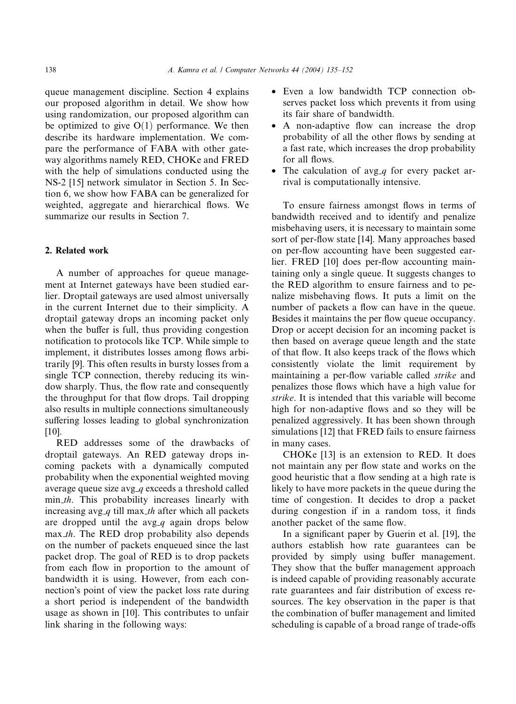queue management discipline. Section 4 explains our proposed algorithm in detail. We show how using randomization, our proposed algorithm can be optimized to give  $O(1)$  performance. We then describe its hardware implementation. We compare the performance of FABA with other gateway algorithms namely RED, CHOKe and FRED with the help of simulations conducted using the NS-2 [15] network simulator in Section 5. In Section 6, we show how FABA can be generalized for weighted, aggregate and hierarchical flows. We summarize our results in Section 7.

# 2. Related work

A number of approaches for queue management at Internet gateways have been studied earlier. Droptail gateways are used almost universally in the current Internet due to their simplicity. A droptail gateway drops an incoming packet only when the buffer is full, thus providing congestion notification to protocols like TCP. While simple to implement, it distributes losses among flows arbitrarily [9]. This often results in bursty losses from a single TCP connection, thereby reducing its window sharply. Thus, the flow rate and consequently the throughput for that flow drops. Tail dropping also results in multiple connections simultaneously suffering losses leading to global synchronization [10].

RED addresses some of the drawbacks of droptail gateways. An RED gateway drops incoming packets with a dynamically computed probability when the exponential weighted moving average queue size avg  $q$  exceeds a threshold called min th. This probability increases linearly with increasing avg q till max th after which all packets are dropped until the avg q again drops below max\_th. The RED drop probability also depends on the number of packets enqueued since the last packet drop. The goal of RED is to drop packets from each flow in proportion to the amount of bandwidth it is using. However, from each connection's point of view the packet loss rate during a short period is independent of the bandwidth usage as shown in [10]. This contributes to unfair link sharing in the following ways:

- Even a low bandwidth TCP connection observes packet loss which prevents it from using its fair share of bandwidth.
- A non-adaptive flow can increase the drop probability of all the other flows by sending at a fast rate, which increases the drop probability for all flows.
- The calculation of avg q for every packet arrival is computationally intensive.

To ensure fairness amongst flows in terms of bandwidth received and to identify and penalize misbehaving users, it is necessary to maintain some sort of per-flow state [14]. Many approaches based on per-flow accounting have been suggested earlier. FRED [10] does per-flow accounting maintaining only a single queue. It suggests changes to the RED algorithm to ensure fairness and to penalize misbehaving flows. It puts a limit on the number of packets a flow can have in the queue. Besides it maintains the per flow queue occupancy. Drop or accept decision for an incoming packet is then based on average queue length and the state of that flow. It also keeps track of the flows which consistently violate the limit requirement by maintaining a per-flow variable called strike and penalizes those flows which have a high value for strike. It is intended that this variable will become high for non-adaptive flows and so they will be penalized aggressively. It has been shown through simulations [12] that FRED fails to ensure fairness in many cases.

CHOKe [13] is an extension to RED. It does not maintain any per flow state and works on the good heuristic that a flow sending at a high rate is likely to have more packets in the queue during the time of congestion. It decides to drop a packet during congestion if in a random toss, it finds another packet of the same flow.

In a significant paper by Guerin et al. [19], the authors establish how rate guarantees can be provided by simply using buffer management. They show that the buffer management approach is indeed capable of providing reasonably accurate rate guarantees and fair distribution of excess resources. The key observation in the paper is that the combination of buffer management and limited scheduling is capable of a broad range of trade-offs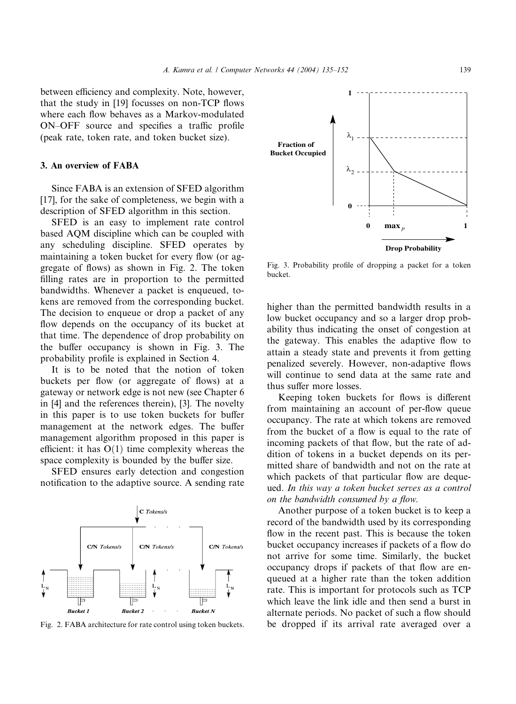between efficiency and complexity. Note, however, that the study in [19] focusses on non-TCP flows where each flow behaves as a Markov-modulated ON–OFF source and specifies a traffic profile (peak rate, token rate, and token bucket size).

#### 3. An overview of FABA

Since FABA is an extension of SFED algorithm [17], for the sake of completeness, we begin with a description of SFED algorithm in this section.

SFED is an easy to implement rate control based AQM discipline which can be coupled with any scheduling discipline. SFED operates by maintaining a token bucket for every flow (or aggregate of flows) as shown in Fig. 2. The token filling rates are in proportion to the permitted bandwidths. Whenever a packet is enqueued, tokens are removed from the corresponding bucket. The decision to enqueue or drop a packet of any flow depends on the occupancy of its bucket at that time. The dependence of drop probability on the buffer occupancy is shown in Fig. 3. The probability profile is explained in Section 4.

It is to be noted that the notion of token buckets per flow (or aggregate of flows) at a gateway or network edge is not new (see Chapter 6 in [4] and the references therein), [3]. The novelty in this paper is to use token buckets for buffer management at the network edges. The buffer management algorithm proposed in this paper is efficient: it has  $O(1)$  time complexity whereas the space complexity is bounded by the buffer size.

SFED ensures early detection and congestion notification to the adaptive source. A sending rate





Fig. 3. Probability profile of dropping a packet for a token bucket.

higher than the permitted bandwidth results in a low bucket occupancy and so a larger drop probability thus indicating the onset of congestion at the gateway. This enables the adaptive flow to attain a steady state and prevents it from getting penalized severely. However, non-adaptive flows will continue to send data at the same rate and thus suffer more losses.

Keeping token buckets for flows is different from maintaining an account of per-flow queue occupancy. The rate at which tokens are removed from the bucket of a flow is equal to the rate of incoming packets of that flow, but the rate of addition of tokens in a bucket depends on its permitted share of bandwidth and not on the rate at which packets of that particular flow are dequeued. In this way a token bucket serves as a control on the bandwidth consumed by a flow.

Another purpose of a token bucket is to keep a record of the bandwidth used by its corresponding flow in the recent past. This is because the token bucket occupancy increases if packets of a flow do not arrive for some time. Similarly, the bucket occupancy drops if packets of that flow are enqueued at a higher rate than the token addition rate. This is important for protocols such as TCP which leave the link idle and then send a burst in alternate periods. No packet of such a flow should Fig. 2. FABA architecture for rate control using token buckets. be dropped if its arrival rate averaged over a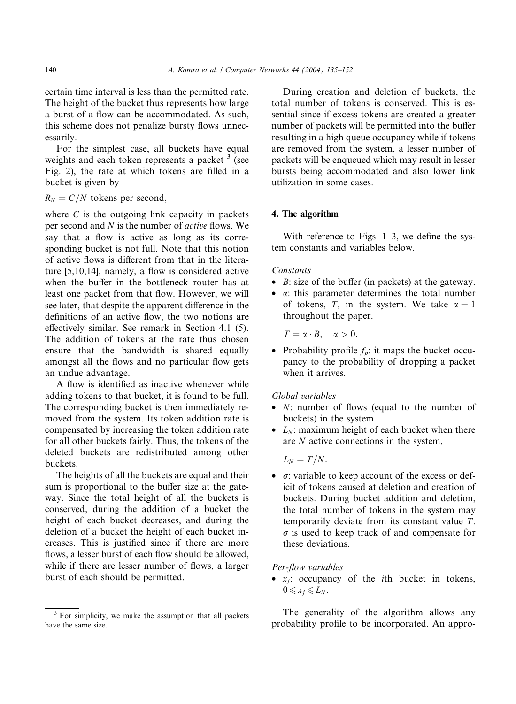certain time interval is less than the permitted rate. The height of the bucket thus represents how large a burst of a flow can be accommodated. As such, this scheme does not penalize bursty flows unnecessarily.

For the simplest case, all buckets have equal weights and each token represents a packet  $3$  (see Fig. 2), the rate at which tokens are filled in a bucket is given by

 $R_N = C/N$  tokens per second,

where  $C$  is the outgoing link capacity in packets per second and N is the number of active flows. We say that a flow is active as long as its corresponding bucket is not full. Note that this notion of active flows is different from that in the literature [5,10,14], namely, a flow is considered active when the buffer in the bottleneck router has at least one packet from that flow. However, we will see later, that despite the apparent difference in the definitions of an active flow, the two notions are effectively similar. See remark in Section 4.1 (5). The addition of tokens at the rate thus chosen ensure that the bandwidth is shared equally amongst all the flows and no particular flow gets an undue advantage.

A flow is identified as inactive whenever while adding tokens to that bucket, it is found to be full. The corresponding bucket is then immediately removed from the system. Its token addition rate is compensated by increasing the token addition rate for all other buckets fairly. Thus, the tokens of the deleted buckets are redistributed among other buckets.

The heights of all the buckets are equal and their sum is proportional to the buffer size at the gateway. Since the total height of all the buckets is conserved, during the addition of a bucket the height of each bucket decreases, and during the deletion of a bucket the height of each bucket increases. This is justified since if there are more flows, a lesser burst of each flow should be allowed, while if there are lesser number of flows, a larger burst of each should be permitted.

During creation and deletion of buckets, the total number of tokens is conserved. This is essential since if excess tokens are created a greater number of packets will be permitted into the buffer resulting in a high queue occupancy while if tokens are removed from the system, a lesser number of packets will be enqueued which may result in lesser bursts being accommodated and also lower link utilization in some cases.

## 4. The algorithm

With reference to Figs. 1–3, we define the system constants and variables below.

#### **Constants**

- *B*: size of the buffer (in packets) at the gateway.
- $\alpha$ : this parameter determines the total number of tokens, T, in the system. We take  $\alpha = 1$ throughout the paper.

 $T = \alpha \cdot B, \quad \alpha > 0.$ 

• Probability profile  $f_p$ : it maps the bucket occupancy to the probability of dropping a packet when it arrives.

#### Global variables

- N: number of flows (equal to the number of buckets) in the system.
- $L_N$ : maximum height of each bucket when there are N active connections in the system,

 $L_N = T/N$ .

•  $\sigma$ : variable to keep account of the excess or deficit of tokens caused at deletion and creation of buckets. During bucket addition and deletion, the total number of tokens in the system may temporarily deviate from its constant value T.  $\sigma$  is used to keep track of and compensate for these deviations.

#### Per-flow variables

•  $x_i$ : occupancy of the *i*th bucket in tokens,  $0 \leqslant x_i \leqslant L_N$ .

The generality of the algorithm allows any probability profile to be incorporated. An appro-

<sup>&</sup>lt;sup>3</sup> For simplicity, we make the assumption that all packets have the same size.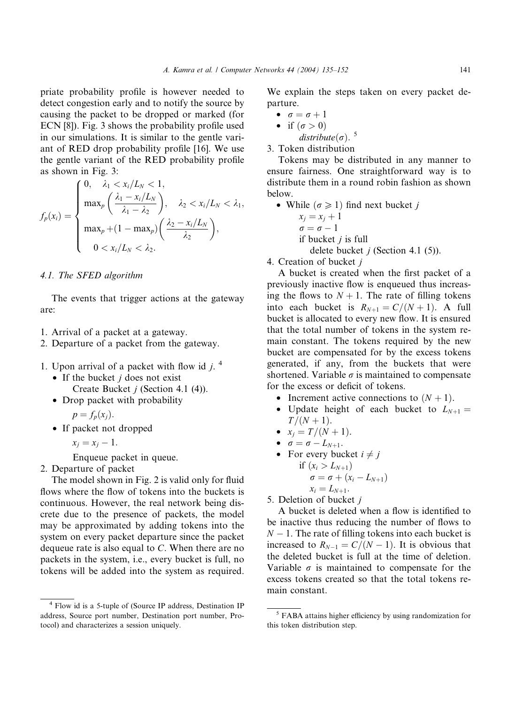priate probability profile is however needed to detect congestion early and to notify the source by causing the packet to be dropped or marked (for ECN [8]). Fig. 3 shows the probability profile used in our simulations. It is similar to the gentle variant of RED drop probability profile [16]. We use the gentle variant of the RED probability profile as shown in Fig. 3:

$$
f_p(x_i) = \begin{cases} 0, & \lambda_1 < x_i/L_N < 1, \\ \max_p \left( \frac{\lambda_1 - x_i/L_N}{\lambda_1 - \lambda_2} \right), & \lambda_2 < x_i/L_N < \lambda_1, \\ \max_p + (1 - \max_p) \left( \frac{\lambda_2 - x_i/L_N}{\lambda_2} \right), \\ 0 < x_i/L_N < \lambda_2. \end{cases}
$$

## 4.1. The SFED algorithm

The events that trigger actions at the gateway are:

- 1. Arrival of a packet at a gateway.
- 2. Departure of a packet from the gateway.
- 1. Upon arrival of a packet with flow id  $i$ .
	- If the bucket  $j$  does not exist Create Bucket j (Section 4.1 (4)).
	- Drop packet with probability

$$
p=f_p(x_j).
$$

• If packet not dropped

 $x_j = x_j - 1.$ 

Enqueue packet in queue.

2. Departure of packet

The model shown in Fig. 2 is valid only for fluid flows where the flow of tokens into the buckets is continuous. However, the real network being discrete due to the presence of packets, the model may be approximated by adding tokens into the system on every packet departure since the packet dequeue rate is also equal to C. When there are no packets in the system, i.e., every bucket is full, no tokens will be added into the system as required.

We explain the steps taken on every packet departure.

\n- $$
\sigma = \sigma + 1
$$
\n- if  $(\sigma > 0)$  *distributed* of  $(\sigma)$ . <sup>5</sup>
\n

3. Token distribution

Tokens may be distributed in any manner to ensure fairness. One straightforward way is to distribute them in a round robin fashion as shown below.

- While  $(\sigma \geq 1)$  find next bucket *j* 
	- $x_i = x_i + 1$  $\sigma = \sigma - 1$
	- if bucket  $j$  is full
	- delete bucket  $j$  (Section 4.1 (5)).

4. Creation of bucket j

A bucket is created when the first packet of a previously inactive flow is enqueued thus increasing the flows to  $N + 1$ . The rate of filling tokens into each bucket is  $R_{N+1} = C/(N+1)$ . A full bucket is allocated to every new flow. It is ensured that the total number of tokens in the system remain constant. The tokens required by the new bucket are compensated for by the excess tokens generated, if any, from the buckets that were shortened. Variable  $\sigma$  is maintained to compensate for the excess or deficit of tokens.

- Increment active connections to  $(N + 1)$ .
- Update height of each bucket to  $L_{N+1} =$  $T/(N + 1)$ .
- $x_i = T/(N + 1)$ .
- $\bullet \ \ \sigma = \sigma L_{N+1}.$
- For every bucket  $i \neq j$

if 
$$
(x_i > L_{N+1})
$$
  
\n $\sigma = \sigma + (x_i - L_{N+1})$ 

$$
x_i=L_{N+1}.
$$

5. Deletion of bucket j

A bucket is deleted when a flow is identified to be inactive thus reducing the number of flows to  $N-1$ . The rate of filling tokens into each bucket is increased to  $R_{N-1} = C/(N-1)$ . It is obvious that the deleted bucket is full at the time of deletion. Variable  $\sigma$  is maintained to compensate for the excess tokens created so that the total tokens remain constant.

<sup>&</sup>lt;sup>4</sup> Flow id is a 5-tuple of (Source IP address, Destination IP address, Source port number, Destination port number, Protocol) and characterizes a session uniquely.

<sup>5</sup> FABA attains higher efficiency by using randomization for this token distribution step.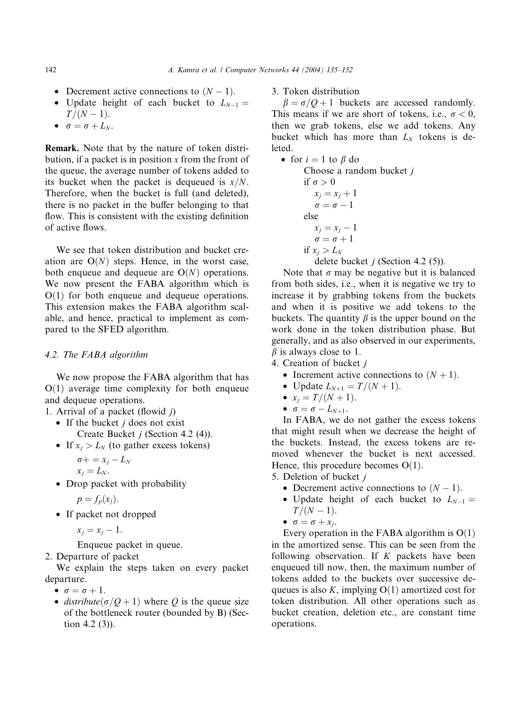- Decrement active connections to  $(N 1)$ .
- Update height of each bucket to  $L_{N-1} =$  $T/(N-1)$ .
- $\sigma = \sigma + L_N$ .

Remark. Note that by the nature of token distribution, if a packet is in position  $x$  from the front of the queue, the average number of tokens added to its bucket when the packet is dequeued is  $x/N$ . Therefore, when the bucket is full (and deleted), there is no packet in the buffer belonging to that flow. This is consistent with the existing definition of active flows.

We see that token distribution and bucket creation are  $O(N)$  steps. Hence, in the worst case, both enqueue and dequeue are  $O(N)$  operations. We now present the FABA algorithm which is  $O(1)$  for both enqueue and dequeue operations. This extension makes the FABA algorithm scalable, and hence, practical to implement as compared to the SFED algorithm.

# 4.2. The FABA algorithm

We now propose the FABA algorithm that has  $O(1)$  average time complexity for both enqueue and dequeue operations.

- 1. Arrival of a packet (flowid  $i$ )
	- If the bucket  $j$  does not exist
		- Create Bucket j (Section 4.2 (4)).
	- If  $x_i > L_N$  (to gather excess tokens)

$$
\sigma+=x_j-L_N
$$
  

$$
x_j=L_N.
$$

• Drop packet with probability

$$
p=f_p(x_j).
$$

• If packet not dropped

 $x_j = x_j - 1.$ 

Enqueue packet in queue.

2. Departure of packet

We explain the steps taken on every packet departure.

- $\sigma = \sigma + 1$ .
- distribute $(\sigma/Q+1)$  where Q is the queue size of the bottleneck router (bounded by B) (Section 4.2 (3)).

3. Token distribution

 $\beta = \sigma/Q + 1$  buckets are accessed randomly. This means if we are short of tokens, i.e.,  $\sigma < 0$ , then we grab tokens, else we add tokens. Any bucket which has more than  $L_N$  tokens is deleted. • for  $i = 1$  to  $\beta$  do

for 
$$
i = 1
$$
 to p do  
\nChoose a random bucket j  
\nif  $\sigma > 0$   
\n $x_j = x_j + 1$   
\n $\sigma = \sigma - 1$   
\nelse  
\n $x_j = x_j - 1$   
\n $\sigma = \sigma + 1$   
\nif  $x_j > L_N$ 

delete bucket *j* (Section 4.2  $(5)$ ).

Note that  $\sigma$  may be negative but it is balanced from both sides, i.e., when it is negative we try to increase it by grabbing tokens from the buckets and when it is positive we add tokens to the buckets. The quantity  $\beta$  is the upper bound on the work done in the token distribution phase. But generally, and as also observed in our experiments,  $\beta$  is always close to 1.

4. Creation of bucket j

- Increment active connections to  $(N + 1)$ .
- Update  $L_{N+1} = T/(N + 1)$ .
- $x_i = T/(N + 1)$ .
- $\bullet~~\sigma=\sigma-L_{N+1}.$

In FABA, we do not gather the excess tokens that might result when we decrease the height of the buckets. Instead, the excess tokens are removed whenever the bucket is next accessed. Hence, this procedure becomes  $O(1)$ .

- 5. Deletion of bucket j
	- Decrement active connections to  $(N 1)$ .
	- Update height of each bucket to  $L_{N-1} =$  $T/(N-1).$
	- $\sigma = \sigma + x_i$ .

Every operation in the FABA algorithm is  $O(1)$ in the amortized sense. This can be seen from the following observation. If  $K$  packets have been enqueued till now, then, the maximum number of tokens added to the buckets over successive dequeues is also K, implying  $O(1)$  amortized cost for token distribution. All other operations such as bucket creation, deletion etc., are constant time operations.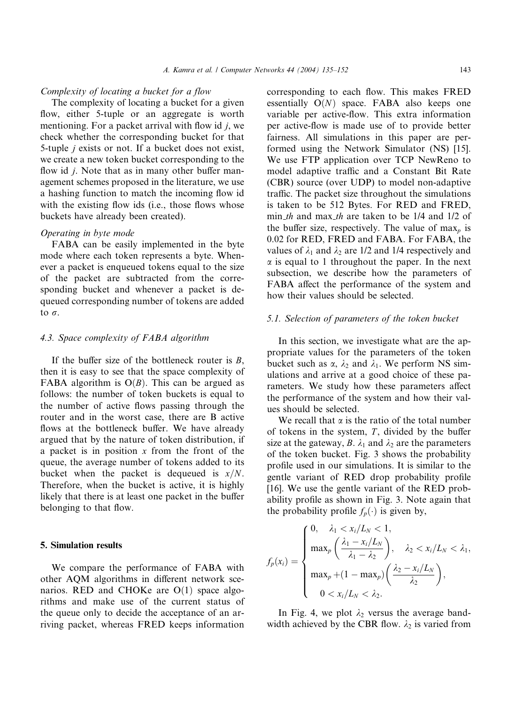# Complexity of locating a bucket for a flow

The complexity of locating a bucket for a given flow, either 5-tuple or an aggregate is worth mentioning. For a packet arrival with flow id  $j$ , we check whether the corresponding bucket for that 5-tuple j exists or not. If a bucket does not exist, we create a new token bucket corresponding to the flow id *i*. Note that as in many other buffer management schemes proposed in the literature, we use a hashing function to match the incoming flow id with the existing flow ids (i.e., those flows whose buckets have already been created).

#### Operating in byte mode

FABA can be easily implemented in the byte mode where each token represents a byte. Whenever a packet is enqueued tokens equal to the size of the packet are subtracted from the corresponding bucket and whenever a packet is dequeued corresponding number of tokens are added to  $\sigma$ .

## 4.3. Space complexity of FABA algorithm

If the buffer size of the bottleneck router is  $B$ , then it is easy to see that the space complexity of FABA algorithm is  $O(B)$ . This can be argued as follows: the number of token buckets is equal to the number of active flows passing through the router and in the worst case, there are B active flows at the bottleneck buffer. We have already argued that by the nature of token distribution, if a packet is in position  $x$  from the front of the queue, the average number of tokens added to its bucket when the packet is dequeued is  $x/N$ . Therefore, when the bucket is active, it is highly likely that there is at least one packet in the buffer belonging to that flow.

#### 5. Simulation results

We compare the performance of FABA with other AQM algorithms in different network scenarios. RED and CHOKe are  $O(1)$  space algorithms and make use of the current status of the queue only to decide the acceptance of an arriving packet, whereas FRED keeps information

corresponding to each flow. This makes FRED essentially  $O(N)$  space. FABA also keeps one variable per active-flow. This extra information per active-flow is made use of to provide better fairness. All simulations in this paper are performed using the Network Simulator (NS) [15]. We use FTP application over TCP NewReno to model adaptive traffic and a Constant Bit Rate (CBR) source (over UDP) to model non-adaptive traffic. The packet size throughout the simulations is taken to be 512 Bytes. For RED and FRED, min th and max th are taken to be 1/4 and 1/2 of the buffer size, respectively. The value of  $\max_p$  is 0.02 for RED, FRED and FABA. For FABA, the values of  $\lambda_1$  and  $\lambda_2$  are 1/2 and 1/4 respectively and  $\alpha$  is equal to 1 throughout the paper. In the next subsection, we describe how the parameters of FABA affect the performance of the system and how their values should be selected.

#### 5.1. Selection of parameters of the token bucket

In this section, we investigate what are the appropriate values for the parameters of the token bucket such as  $\alpha$ ,  $\lambda_2$  and  $\lambda_1$ . We perform NS simulations and arrive at a good choice of these parameters. We study how these parameters affect the performance of the system and how their values should be selected.

We recall that  $\alpha$  is the ratio of the total number of tokens in the system,  $T$ , divided by the buffer size at the gateway, B.  $\lambda_1$  and  $\lambda_2$  are the parameters of the token bucket. Fig. 3 shows the probability profile used in our simulations. It is similar to the gentle variant of RED drop probability profile [16]. We use the gentle variant of the RED probability profile as shown in Fig. 3. Note again that the probability profile  $f_p(\cdot)$  is given by,

$$
f_p(x_i) = \begin{cases} 0, & \lambda_1 < x_i/L_N < 1, \\ \max_p \left( \frac{\lambda_1 - x_i/L_N}{\lambda_1 - \lambda_2} \right), & \lambda_2 < x_i/L_N < \lambda_1, \\ \max_p + (1 - \max_p) \left( \frac{\lambda_2 - x_i/L_N}{\lambda_2} \right), \\ 0 < x_i/L_N < \lambda_2. \end{cases}
$$

In Fig. 4, we plot  $\lambda_2$  versus the average bandwidth achieved by the CBR flow.  $\lambda_2$  is varied from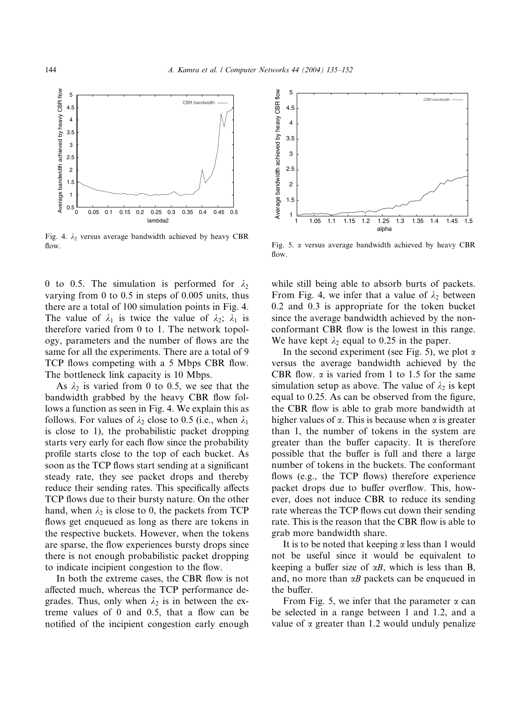

Fig. 4.  $\lambda_2$  versus average bandwidth achieved by heavy CBR flow.

0 to 0.5. The simulation is performed for  $\lambda_2$ varying from 0 to 0.5 in steps of 0.005 units, thus there are a total of 100 simulation points in Fig. 4. The value of  $\lambda_1$  is twice the value of  $\lambda_2$ ;  $\lambda_1$  is therefore varied from 0 to 1. The network topology, parameters and the number of flows are the same for all the experiments. There are a total of 9 TCP flows competing with a 5 Mbps CBR flow. The bottleneck link capacity is 10 Mbps.

As  $\lambda_2$  is varied from 0 to 0.5, we see that the bandwidth grabbed by the heavy CBR flow follows a function as seen in Fig. 4. We explain this as follows. For values of  $\lambda_2$  close to 0.5 (i.e., when  $\lambda_1$ ) is close to 1), the probabilistic packet dropping starts very early for each flow since the probability profile starts close to the top of each bucket. As soon as the TCP flows start sending at a significant steady rate, they see packet drops and thereby reduce their sending rates. This specifically affects TCP flows due to their bursty nature. On the other hand, when  $\lambda_2$  is close to 0, the packets from TCP flows get enqueued as long as there are tokens in the respective buckets. However, when the tokens are sparse, the flow experiences bursty drops since there is not enough probabilistic packet dropping to indicate incipient congestion to the flow.

In both the extreme cases, the CBR flow is not affected much, whereas the TCP performance degrades. Thus, only when  $\lambda_2$  is in between the extreme values of 0 and 0.5, that a flow can be notified of the incipient congestion early enough



Fig. 5.  $\alpha$  versus average bandwidth achieved by heavy CBR flow.

while still being able to absorb burts of packets. From Fig. 4, we infer that a value of  $\lambda_2$  between 0.2 and 0.3 is appropriate for the token bucket since the average bandwidth achieved by the nonconformant CBR flow is the lowest in this range. We have kept  $\lambda_2$  equal to 0.25 in the paper.

In the second experiment (see Fig. 5), we plot  $\alpha$ versus the average bandwidth achieved by the CBR flow.  $\alpha$  is varied from 1 to 1.5 for the same simulation setup as above. The value of  $\lambda_2$  is kept equal to 0.25. As can be observed from the figure, the CBR flow is able to grab more bandwidth at higher values of  $\alpha$ . This is because when  $\alpha$  is greater than 1, the number of tokens in the system are greater than the buffer capacity. It is therefore possible that the buffer is full and there a large number of tokens in the buckets. The conformant flows (e.g., the TCP flows) therefore experience packet drops due to buffer overflow. This, however, does not induce CBR to reduce its sending rate whereas the TCP flows cut down their sending rate. This is the reason that the CBR flow is able to grab more bandwidth share.

It is to be noted that keeping  $\alpha$  less than 1 would not be useful since it would be equivalent to keeping a buffer size of  $\alpha B$ , which is less than B, and, no more than  $\alpha$ B packets can be enqueued in the buffer.

From Fig. 5, we infer that the parameter  $\alpha$  can be selected in a range between 1 and 1.2, and a value of  $\alpha$  greater than 1.2 would unduly penalize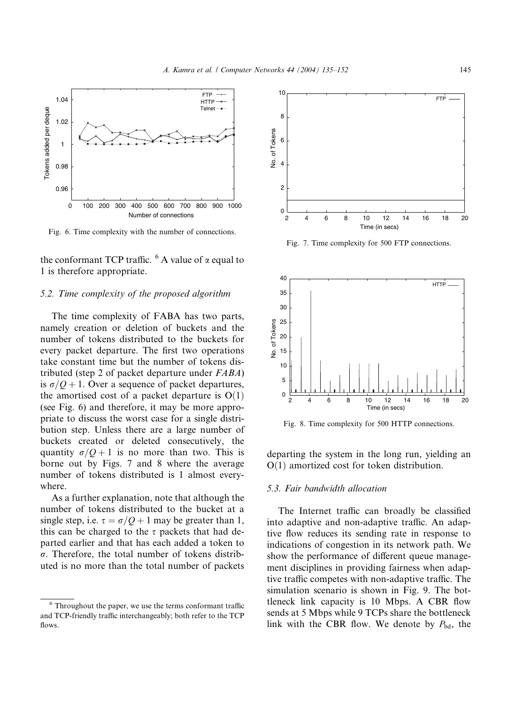

Fig. 6. Time complexity with the number of connections.

the conformant TCP traffic.  $6$  A value of  $\alpha$  equal to 1 is therefore appropriate.

## 5.2. Time complexity of the proposed algorithm

The time complexity of FABA has two parts, namely creation or deletion of buckets and the number of tokens distributed to the buckets for every packet departure. The first two operations take constant time but the number of tokens distributed (step 2 of packet departure under FABA) is  $\sigma/Q + 1$ . Over a sequence of packet departures, the amortised cost of a packet departure is  $O(1)$ (see Fig. 6) and therefore, it may be more appropriate to discuss the worst case for a single distribution step. Unless there are a large number of buckets created or deleted consecutively, the quantity  $\sigma/Q + 1$  is no more than two. This is borne out by Figs. 7 and 8 where the average number of tokens distributed is 1 almost everywhere.

As a further explanation, note that although the number of tokens distributed to the bucket at a single step, i.e.  $\tau = \frac{\sigma}{Q} + 1$  may be greater than 1, this can be charged to the  $\tau$  packets that had departed earlier and that has each added a token to  $\sigma$ . Therefore, the total number of tokens distributed is no more than the total number of packets



Fig. 7. Time complexity for 500 FTP connections.



Fig. 8. Time complexity for 500 HTTP connections.

departing the system in the long run, yielding an  $O(1)$  amortized cost for token distribution.

#### 5.3. Fair bandwidth allocation

The Internet traffic can broadly be classified into adaptive and non-adaptive traffic. An adaptive flow reduces its sending rate in response to indications of congestion in its network path. We show the performance of different queue management disciplines in providing fairness when adaptive traffic competes with non-adaptive traffic. The simulation scenario is shown in Fig. 9. The bottleneck link capacity is 10 Mbps. A CBR flow sends at 5 Mbps while 9 TCPs share the bottleneck link with the CBR flow. We denote by  $P_{\text{bd}}$ , the

 $6$  Throughout the paper, we use the terms conformant traffic and TCP-friendly traffic interchangeably; both refer to the TCP flows.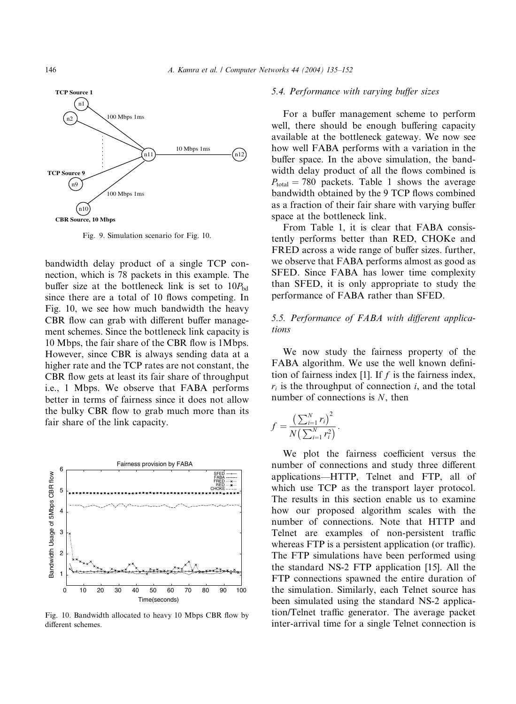

Fig. 9. Simulation scenario for Fig. 10.

bandwidth delay product of a single TCP connection, which is 78 packets in this example. The buffer size at the bottleneck link is set to  $10P_{bd}$ since there are a total of 10 flows competing. In Fig. 10, we see how much bandwidth the heavy CBR flow can grab with different buffer management schemes. Since the bottleneck link capacity is 10 Mbps, the fair share of the CBR flow is 1Mbps. However, since CBR is always sending data at a higher rate and the TCP rates are not constant, the CBR flow gets at least its fair share of throughput i.e., 1 Mbps. We observe that FABA performs better in terms of fairness since it does not allow the bulky CBR flow to grab much more than its fair share of the link capacity.



Fig. 10. Bandwidth allocated to heavy 10 Mbps CBR flow by different schemes.

## 5.4. Performance with varying buffer sizes

For a buffer management scheme to perform well, there should be enough buffering capacity available at the bottleneck gateway. We now see how well FABA performs with a variation in the buffer space. In the above simulation, the bandwidth delay product of all the flows combined is  $P_{\text{total}} = 780$  packets. Table 1 shows the average bandwidth obtained by the 9 TCP flows combined as a fraction of their fair share with varying buffer space at the bottleneck link.

From Table 1, it is clear that FABA consistently performs better than RED, CHOKe and FRED across a wide range of buffer sizes. further, we observe that FABA performs almost as good as SFED. Since FABA has lower time complexity than SFED, it is only appropriate to study the performance of FABA rather than SFED.

# 5.5. Performance of FABA with different applications

We now study the fairness property of the FABA algorithm. We use the well known definition of fairness index [1]. If  $f$  is the fairness index,  $r_i$  is the throughput of connection i, and the total number of connections is  $N$ , then

$$
f = \frac{\left(\sum_{i=1}^{N} r_i\right)^2}{N\left(\sum_{i=1}^{N} r_i^2\right)}.
$$

We plot the fairness coefficient versus the number of connections and study three different applications––HTTP, Telnet and FTP, all of which use TCP as the transport layer protocol. The results in this section enable us to examine how our proposed algorithm scales with the number of connections. Note that HTTP and Telnet are examples of non-persistent traffic whereas FTP is a persistent application (or traffic). The FTP simulations have been performed using the standard NS-2 FTP application [15]. All the FTP connections spawned the entire duration of the simulation. Similarly, each Telnet source has been simulated using the standard NS-2 application/Telnet traffic generator. The average packet inter-arrival time for a single Telnet connection is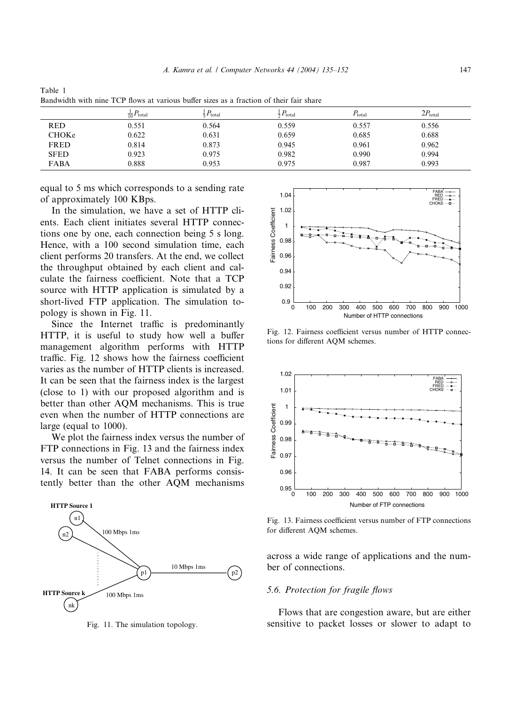| Dununiyati nitii iiiito 1 C1 110 me meeyay qanti yiloo ug'u fitachon of tiichi fun yilaho |                                |                               |                               |       |                     |  |  |  |
|-------------------------------------------------------------------------------------------|--------------------------------|-------------------------------|-------------------------------|-------|---------------------|--|--|--|
|                                                                                           | $\frac{1}{10}P_{\text{total}}$ | $\frac{1}{5}P_{\text{total}}$ | $\frac{1}{2}P_{\text{total}}$ | total | $2P_{\text{total}}$ |  |  |  |
| <b>RED</b>                                                                                | 0.551                          | 0.564                         | 0.559                         | 0.557 | 0.556               |  |  |  |
| CHOKe                                                                                     | 0.622                          | 0.631                         | 0.659                         | 0.685 | 0.688               |  |  |  |
| <b>FRED</b>                                                                               | 0.814                          | 0.873                         | 0.945                         | 0.961 | 0.962               |  |  |  |
| <b>SFED</b>                                                                               | 0.923                          | 0.975                         | 0.982                         | 0.990 | 0.994               |  |  |  |
| FABA                                                                                      | 0.888                          | 0.953                         | 0.975                         | 0.987 | 0.993               |  |  |  |

Table 1 Bandwidth with nine TCP flows at various buffer sizes as a fraction of their fair share

equal to 5 ms which corresponds to a sending rate of approximately 100 KBps.

In the simulation, we have a set of HTTP clients. Each client initiates several HTTP connections one by one, each connection being 5 s long. Hence, with a 100 second simulation time, each client performs 20 transfers. At the end, we collect the throughput obtained by each client and calculate the fairness coefficient. Note that a TCP source with HTTP application is simulated by a short-lived FTP application. The simulation topology is shown in Fig. 11.

Since the Internet traffic is predominantly HTTP, it is useful to study how well a buffer management algorithm performs with HTTP traffic. Fig. 12 shows how the fairness coefficient varies as the number of HTTP clients is increased. It can be seen that the fairness index is the largest (close to 1) with our proposed algorithm and is better than other AQM mechanisms. This is true even when the number of HTTP connections are large (equal to 1000).

We plot the fairness index versus the number of FTP connections in Fig. 13 and the fairness index versus the number of Telnet connections in Fig. 14. It can be seen that FABA performs consistently better than the other AQM mechanisms



Fig. 11. The simulation topology.



Fig. 12. Fairness coefficient versus number of HTTP connections for different AQM schemes.



Fig. 13. Fairness coefficient versus number of FTP connections for different AQM schemes.

across a wide range of applications and the number of connections.

#### 5.6. Protection for fragile flows

Flows that are congestion aware, but are either sensitive to packet losses or slower to adapt to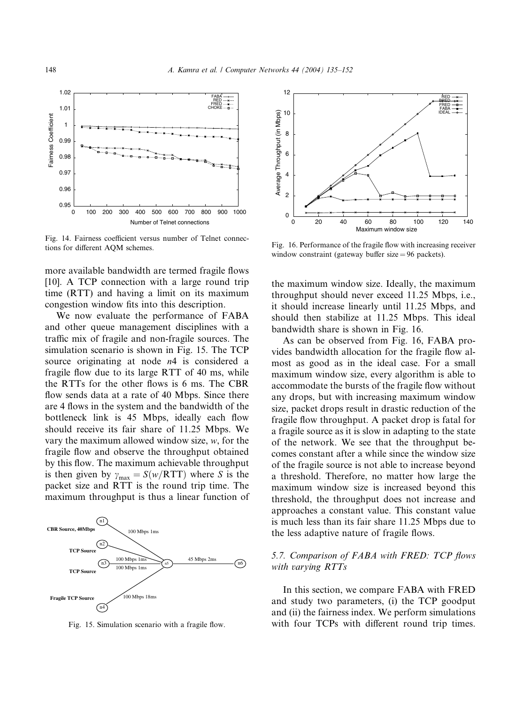

Fig. 14. Fairness coefficient versus number of Telnet connections for different AQM schemes.

more available bandwidth are termed fragile flows [10]. A TCP connection with a large round trip time (RTT) and having a limit on its maximum congestion window fits into this description.

We now evaluate the performance of FABA and other queue management disciplines with a traffic mix of fragile and non-fragile sources. The simulation scenario is shown in Fig. 15. The TCP source originating at node  $n4$  is considered a fragile flow due to its large RTT of 40 ms, while the RTTs for the other flows is 6 ms. The CBR flow sends data at a rate of 40 Mbps. Since there are 4 flows in the system and the bandwidth of the bottleneck link is 45 Mbps, ideally each flow should receive its fair share of 11.25 Mbps. We vary the maximum allowed window size,  $w$ , for the fragile flow and observe the throughput obtained by this flow. The maximum achievable throughput is then given by  $\gamma_{\text{max}} = S(w/\text{RTT})$  where S is the packet size and RTT is the round trip time. The maximum throughput is thus a linear function of



Fig. 15. Simulation scenario with a fragile flow.



Fig. 16. Performance of the fragile flow with increasing receiver window constraint (gateway buffer size  $= 96$  packets).

the maximum window size. Ideally, the maximum throughput should never exceed 11.25 Mbps, i.e., it should increase linearly until 11.25 Mbps, and should then stabilize at 11.25 Mbps. This ideal bandwidth share is shown in Fig. 16.

As can be observed from Fig. 16, FABA provides bandwidth allocation for the fragile flow almost as good as in the ideal case. For a small maximum window size, every algorithm is able to accommodate the bursts of the fragile flow without any drops, but with increasing maximum window size, packet drops result in drastic reduction of the fragile flow throughput. A packet drop is fatal for a fragile source as it is slow in adapting to the state of the network. We see that the throughput becomes constant after a while since the window size of the fragile source is not able to increase beyond a threshold. Therefore, no matter how large the maximum window size is increased beyond this threshold, the throughput does not increase and approaches a constant value. This constant value is much less than its fair share 11.25 Mbps due to the less adaptive nature of fragile flows.

# 5.7. Comparison of FABA with FRED: TCP flows with varying RTTs

In this section, we compare FABA with FRED and study two parameters, (i) the TCP goodput and (ii) the fairness index. We perform simulations with four TCPs with different round trip times.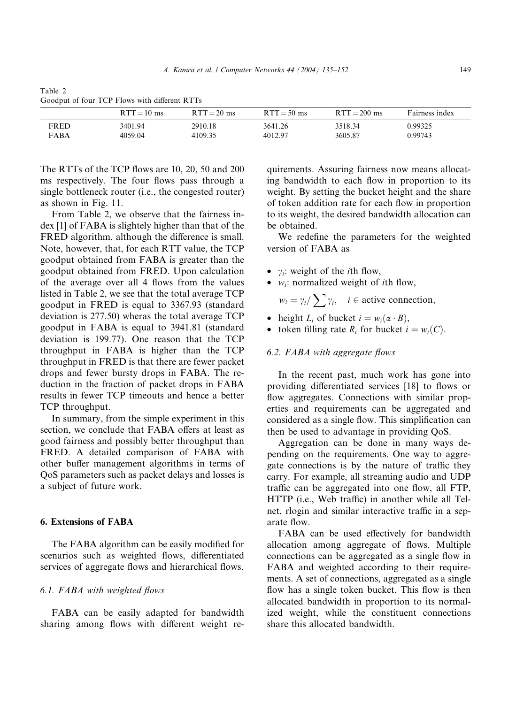| Oboupat of four Ter Thoms with university refers |               |               |               |                |                |  |  |  |  |
|--------------------------------------------------|---------------|---------------|---------------|----------------|----------------|--|--|--|--|
|                                                  | $RTT = 10$ ms | $RTT = 20$ ms | $RTT = 50$ ms | $RTT = 200$ ms | Fairness index |  |  |  |  |
| FRED                                             | 3401.94       | 2910.18       | 3641.26       | 3518.34        | 0.99325        |  |  |  |  |
| FABA                                             | 4059.04       | 4109.35       | 4012.97       | 3605.87        | 0.99743        |  |  |  |  |

Table 2 Goodput of four TCP Flows with different RTTs

The RTTs of the TCP flows are 10, 20, 50 and 200 ms respectively. The four flows pass through a single bottleneck router (i.e., the congested router) as shown in Fig. 11.

From Table 2, we observe that the fairness index [1] of FABA is slightely higher than that of the FRED algorithm, although the difference is small. Note, however, that, for each RTT value, the TCP goodput obtained from FABA is greater than the goodput obtained from FRED. Upon calculation of the average over all 4 flows from the values listed in Table 2, we see that the total average TCP goodput in FRED is equal to 3367.93 (standard deviation is 277.50) wheras the total average TCP goodput in FABA is equal to 3941.81 (standard deviation is 199.77). One reason that the TCP throughput in FABA is higher than the TCP throughput in FRED is that there are fewer packet drops and fewer bursty drops in FABA. The reduction in the fraction of packet drops in FABA results in fewer TCP timeouts and hence a better TCP throughput.

In summary, from the simple experiment in this section, we conclude that FABA offers at least as good fairness and possibly better throughput than FRED. A detailed comparison of FABA with other buffer management algorithms in terms of QoS parameters such as packet delays and losses is a subject of future work.

# 6. Extensions of FABA

The FABA algorithm can be easily modified for scenarios such as weighted flows, differentiated services of aggregate flows and hierarchical flows.

#### 6.1. FABA with weighted flows

FABA can be easily adapted for bandwidth sharing among flows with different weight requirements. Assuring fairness now means allocating bandwidth to each flow in proportion to its weight. By setting the bucket height and the share of token addition rate for each flow in proportion to its weight, the desired bandwidth allocation can be obtained.

We redefine the parameters for the weighted version of FABA as

- $\gamma_i$ : weight of the *i*th flow,
- $w_i$ : normalized weight of *i*th flow,

$$
w_i = \gamma_i / \sum \gamma_i, \quad i \in \text{active connection},
$$

- height  $L_i$  of bucket  $i = w_i(\alpha \cdot B)$ ,
- token filling rate  $R_i$  for bucket  $i = w_i(C)$ .

## 6.2. FABA with aggregate flows

In the recent past, much work has gone into providing differentiated services [18] to flows or flow aggregates. Connections with similar properties and requirements can be aggregated and considered as a single flow. This simplification can then be used to advantage in providing QoS.

Aggregation can be done in many ways depending on the requirements. One way to aggregate connections is by the nature of traffic they carry. For example, all streaming audio and UDP traffic can be aggregated into one flow, all FTP, HTTP (i.e., Web traffic) in another while all Telnet, rlogin and similar interactive traffic in a separate flow.

FABA can be used effectively for bandwidth allocation among aggregate of flows. Multiple connections can be aggregated as a single flow in FABA and weighted according to their requirements. A set of connections, aggregated as a single flow has a single token bucket. This flow is then allocated bandwidth in proportion to its normalized weight, while the constituent connections share this allocated bandwidth.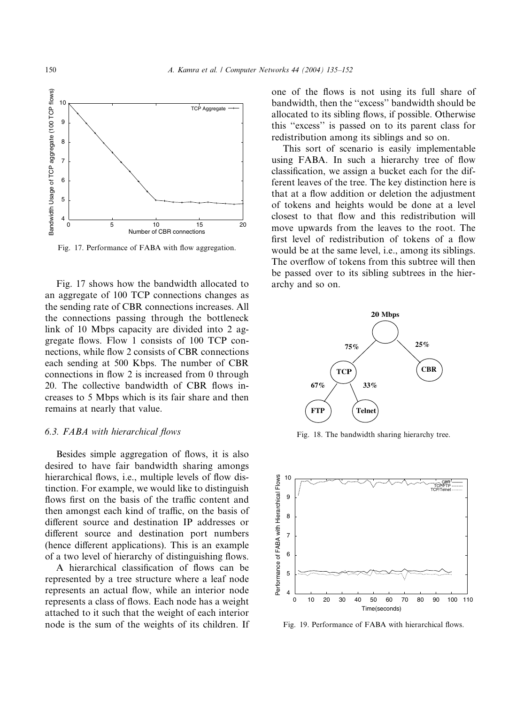

Fig. 17. Performance of FABA with flow aggregation.

Fig. 17 shows how the bandwidth allocated to an aggregate of 100 TCP connections changes as the sending rate of CBR connections increases. All the connections passing through the bottleneck link of 10 Mbps capacity are divided into 2 aggregate flows. Flow 1 consists of 100 TCP connections, while flow 2 consists of CBR connections each sending at 500 Kbps. The number of CBR connections in flow 2 is increased from 0 through 20. The collective bandwidth of CBR flows increases to 5 Mbps which is its fair share and then remains at nearly that value.

#### 6.3. FABA with hierarchical flows

Besides simple aggregation of flows, it is also desired to have fair bandwidth sharing amongs hierarchical flows, i.e., multiple levels of flow distinction. For example, we would like to distinguish flows first on the basis of the traffic content and then amongst each kind of traffic, on the basis of different source and destination IP addresses or different source and destination port numbers (hence different applications). This is an example of a two level of hierarchy of distinguishing flows.

A hierarchical classification of flows can be represented by a tree structure where a leaf node represents an actual flow, while an interior node represents a class of flows. Each node has a weight attached to it such that the weight of each interior node is the sum of the weights of its children. If one of the flows is not using its full share of bandwidth, then the ''excess'' bandwidth should be allocated to its sibling flows, if possible. Otherwise this ''excess'' is passed on to its parent class for redistribution among its siblings and so on.

This sort of scenario is easily implementable using FABA. In such a hierarchy tree of flow classification, we assign a bucket each for the different leaves of the tree. The key distinction here is that at a flow addition or deletion the adjustment of tokens and heights would be done at a level closest to that flow and this redistribution will move upwards from the leaves to the root. The first level of redistribution of tokens of a flow would be at the same level, i.e., among its siblings. The overflow of tokens from this subtree will then be passed over to its sibling subtrees in the hierarchy and so on.



Fig. 18. The bandwidth sharing hierarchy tree.



Fig. 19. Performance of FABA with hierarchical flows.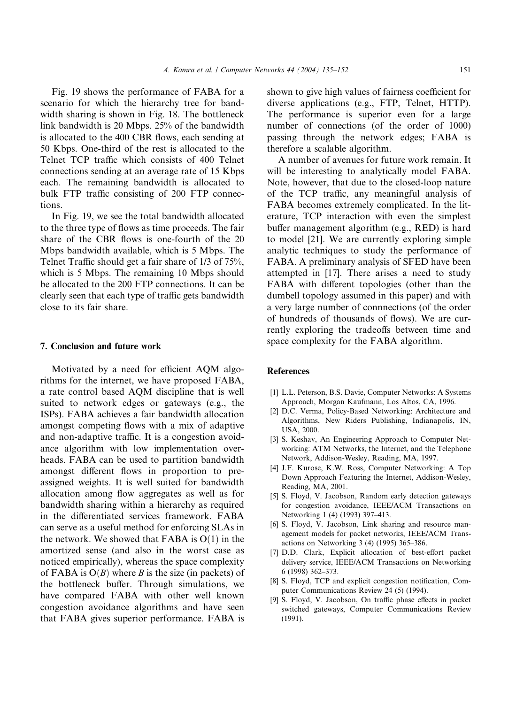Fig. 19 shows the performance of FABA for a scenario for which the hierarchy tree for bandwidth sharing is shown in Fig. 18. The bottleneck link bandwidth is 20 Mbps. 25% of the bandwidth is allocated to the 400 CBR flows, each sending at 50 Kbps. One-third of the rest is allocated to the Telnet TCP traffic which consists of 400 Telnet connections sending at an average rate of 15 Kbps each. The remaining bandwidth is allocated to bulk FTP traffic consisting of 200 FTP connections.

In Fig. 19, we see the total bandwidth allocated to the three type of flows as time proceeds. The fair share of the CBR flows is one-fourth of the 20 Mbps bandwidth available, which is 5 Mbps. The Telnet Traffic should get a fair share of 1/3 of 75%, which is 5 Mbps. The remaining 10 Mbps should be allocated to the 200 FTP connections. It can be clearly seen that each type of traffic gets bandwidth close to its fair share.

#### 7. Conclusion and future work

Motivated by a need for efficient AQM algorithms for the internet, we have proposed FABA, a rate control based AQM discipline that is well suited to network edges or gateways (e.g., the ISPs). FABA achieves a fair bandwidth allocation amongst competing flows with a mix of adaptive and non-adaptive traffic. It is a congestion avoidance algorithm with low implementation overheads. FABA can be used to partition bandwidth amongst different flows in proportion to preassigned weights. It is well suited for bandwidth allocation among flow aggregates as well as for bandwidth sharing within a hierarchy as required in the differentiated services framework. FABA can serve as a useful method for enforcing SLAs in the network. We showed that FABA is  $O(1)$  in the amortized sense (and also in the worst case as noticed empirically), whereas the space complexity of FABA is  $O(B)$  where B is the size (in packets) of the bottleneck buffer. Through simulations, we have compared FABA with other well known congestion avoidance algorithms and have seen that FABA gives superior performance. FABA is shown to give high values of fairness coefficient for diverse applications (e.g., FTP, Telnet, HTTP). The performance is superior even for a large number of connections (of the order of 1000) passing through the network edges; FABA is therefore a scalable algorithm.

A number of avenues for future work remain. It will be interesting to analytically model FABA. Note, however, that due to the closed-loop nature of the TCP traffic, any meaningful analysis of FABA becomes extremely complicated. In the literature, TCP interaction with even the simplest buffer management algorithm (e.g., RED) is hard to model [21]. We are currently exploring simple analytic techniques to study the performance of FABA. A preliminary analysis of SFED have been attempted in [17]. There arises a need to study FABA with different topologies (other than the dumbell topology assumed in this paper) and with a very large number of connnections (of the order of hundreds of thousands of flows). We are currently exploring the tradeoffs between time and space complexity for the FABA algorithm.

## References

- [1] L.L. Peterson, B.S. Davie, Computer Networks: A Systems Approach, Morgan Kaufmann, Los Altos, CA, 1996.
- [2] D.C. Verma, Policy-Based Networking: Architecture and Algorithms, New Riders Publishing, Indianapolis, IN, USA, 2000.
- [3] S. Keshav, An Engineering Approach to Computer Networking: ATM Networks, the Internet, and the Telephone Network, Addison-Wesley, Reading, MA, 1997.
- [4] J.F. Kurose, K.W. Ross, Computer Networking: A Top Down Approach Featuring the Internet, Addison-Wesley, Reading, MA, 2001.
- [5] S. Floyd, V. Jacobson, Random early detection gateways for congestion avoidance, IEEE/ACM Transactions on Networking 1 (4) (1993) 397–413.
- [6] S. Floyd, V. Jacobson, Link sharing and resource management models for packet networks, IEEE/ACM Transactions on Networking 3 (4) (1995) 365–386.
- [7] D.D. Clark, Explicit allocation of best-effort packet delivery service, IEEE/ACM Transactions on Networking 6 (1998) 362–373.
- [8] S. Floyd, TCP and explicit congestion notification, Computer Communications Review 24 (5) (1994).
- [9] S. Floyd, V. Jacobson, On traffic phase effects in packet switched gateways, Computer Communications Review (1991).